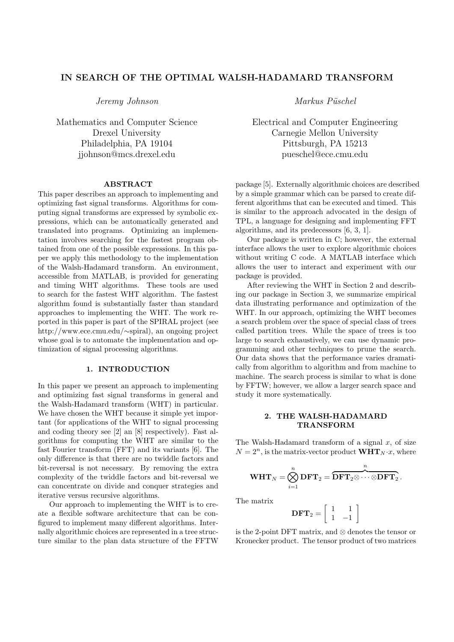# **IN SEARCH OF THE OPTIMAL WALSH-HADAMARD TRANSFORM**

*Jeremy Johnson*

Mathematics and Computer Science Drexel University Philadelphia, PA 19104 jjohnson@mcs.drexel.edu

#### **ABSTRACT**

This paper describes an approach to implementing and optimizing fast signal transforms. Algorithms for computing signal transforms are expressed by symbolic expressions, which can be automatically generated and translated into programs. Optimizing an implementation involves searching for the fastest program obtained from one of the possible expressions. In this paper we apply this methodology to the implementation of the Walsh-Hadamard transform. An environment, accessible from MATLAB, is provided for generating and timing WHT algorithms. These tools are used to search for the fastest WHT algorithm. The fastest algorithm found is substantially faster than standard approaches to implementing the WHT. The work reported in this paper is part of the SPIRAL project (see http://www.ece.cmu.edu/*∼*spiral), an ongoing project whose goal is to automate the implementation and optimization of signal processing algorithms.

## **1. INTRODUCTION**

In this paper we present an approach to implementing and optimizing fast signal transforms in general and the Walsh-Hadamard transform (WHT) in particular. We have chosen the WHT because it simple yet important (for applications of the WHT to signal processing and coding theory see [2] an [8] respectively). Fast algorithms for computing the WHT are similar to the fast Fourier transform (FFT) and its variants [6]. The only difference is that there are no twiddle factors and bit-reversal is not necessary. By removing the extra complexity of the twiddle factors and bit-reversal we can concentrate on divide and conquer strategies and iterative versus recursive algorithms.

Our approach to implementing the WHT is to create a flexible software architecture that can be configured to implement many different algorithms. Internally algorithmic choices are represented in a tree structure similar to the plan data structure of the FFTW *Markus Püschel* 

Electrical and Computer Engineering Carnegie Mellon University Pittsburgh, PA 15213 pueschel@ece.cmu.edu

package [5]. Externally algorithmic choices are described by a simple grammar which can be parsed to create different algorithms that can be executed and timed. This is similar to the approach advocated in the design of TPL, a language for designing and implementing FFT algorithms, and its predecessors [6, 3, 1].

Our package is written in C; however, the external interface allows the user to explore algorithmic choices without writing C code. A MATLAB interface which allows the user to interact and experiment with our package is provided.

After reviewing the WHT in Section 2 and describing our package in Section 3, we summarize empirical data illustrating performance and optimization of the WHT. In our approach, optimizing the WHT becomes a search problem over the space of special class of trees called partition trees. While the space of trees is too large to search exhaustively, we can use dynamic programming and other techniques to prune the search. Our data shows that the performance varies dramatically from algorithm to algorithm and from machine to machine. The search process is similar to what is done by FFTW; however, we allow a larger search space and study it more systematically.

### **2. THE WALSH-HADAMARD TRANSFORM**

The Walsh-Hadamard transform of a signal *x*, of size  $N = 2^n$ , is the matrix-vector product  $\mathbf{WHT}_{N} \cdot x$ , where

$$
\textbf{WHT}_N = \bigotimes_{i=1}^n \textbf{DFT}_2 = \overbrace{\textbf{DFT}_2 \otimes \cdots \otimes \textbf{DFT}_2}^{n}.
$$

The matrix

$$
\mathbf{DFT}_2 = \left[ \begin{array}{cc} 1 & 1 \\ 1 & -1 \end{array} \right]
$$

is the 2-point DFT matrix, and *⊗* denotes the tensor or Kronecker product. The tensor product of two matrices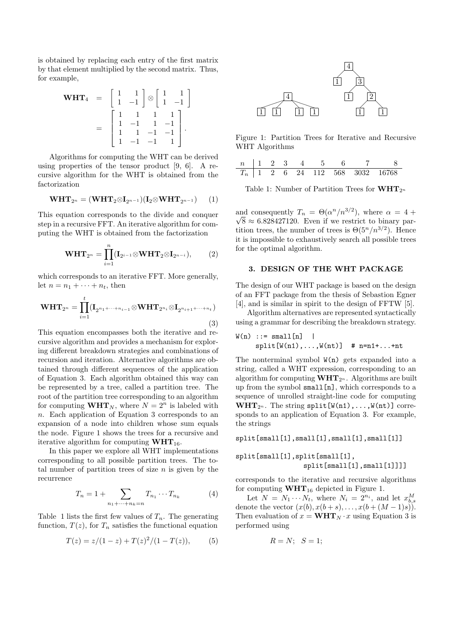is obtained by replacing each entry of the first matrix by that element multiplied by the second matrix. Thus, for example,

$$
\mathbf{WHT}_{4} = \begin{bmatrix} 1 & 1 \\ 1 & -1 \end{bmatrix} \otimes \begin{bmatrix} 1 & 1 \\ 1 & -1 \end{bmatrix}
$$

$$
= \begin{bmatrix} 1 & 1 & 1 & 1 \\ 1 & -1 & 1 & -1 \\ 1 & 1 & -1 & -1 \\ 1 & -1 & -1 & 1 \end{bmatrix}.
$$

Algorithms for computing the WHT can be derived using properties of the tensor product [9, 6]. A recursive algorithm for the WHT is obtained from the factorization

$$
\mathbf{WHT}_{2^n} = (\mathbf{WHT}_2 \otimes \mathbf{I}_{2^{n-1}})(\mathbf{I}_2 \otimes \mathbf{WHT}_{2^{n-1}})
$$
 (1)

This equation corresponds to the divide and conquer step in a recursive FFT. An iterative algorithm for computing the WHT is obtained from the factorization

$$
\mathbf{WHT}_{2^n} = \prod_{i=1}^n (\mathbf{I}_{2^{i-1}} \otimes \mathbf{WHT}_2 \otimes \mathbf{I}_{2^{n-i}}), \qquad (2)
$$

which corresponds to an iterative FFT. More generally, let  $n = n_1 + \cdots + n_t$ , then

$$
\mathbf{WHT}_{2^n} = \prod_{i=1}^t (\mathbf{I}_{2^{n_1 + \dots + n_{i-1}}} \otimes \mathbf{WHT}_{2^{n_i}} \otimes \mathbf{I}_{2^{n_{i+1} + \dots + n_t}})
$$
\n(3)

This equation encompasses both the iterative and recursive algorithm and provides a mechanism for exploring different breakdown strategies and combinations of recursion and iteration. Alternative algorithms are obtained through different sequences of the application of Equation 3. Each algorithm obtained this way can be represented by a tree, called a partition tree. The root of the partition tree corresponding to an algorithm for computing  $\mathbf{WHT}_N$ , where  $N = 2^n$  is labeled with *n*. Each application of Equation 3 corresponds to an expansion of a node into children whose sum equals the node. Figure 1 shows the trees for a recursive and iterative algorithm for computing **WHT**16.

In this paper we explore all WHT implementations corresponding to all possible partition trees. The total number of partition trees of size *n* is given by the recurrence

$$
T_n = 1 + \sum_{n_1 + \dots + n_k = n} T_{n_1} \cdots T_{n_k}
$$
 (4)

Table 1 lists the first few values of  $T_n$ . The generating function,  $T(z)$ , for  $T_n$  satisfies the functional equation

$$
T(z) = z/(1-z) + T(z)^{2}/(1-T(z)),
$$
 (5)



Figure 1: Partition Trees for Iterative and Recursive WHT Algorithms

|  |  | $n \mid 1 \quad 2 \quad 3 \quad 4 \quad 5$ |  |                                                   |
|--|--|--------------------------------------------|--|---------------------------------------------------|
|  |  |                                            |  | $T_n$   1   2   6   24   112   568   3032   16768 |

Table 1: Number of Partition Trees for  $\mathbf{WHT}_{2^n}$ 

and consequently  $T_n = \Theta(\alpha^n/n^{3/2})$ , where  $\alpha = 4 + \frac{1}{2}$  $\sqrt{8} \approx 6.828427120$ . Even if we restrict to binary partition trees, the number of trees is  $\Theta(5^n/n^{3/2})$ . Hence it is impossible to exhaustively search all possible trees for the optimal algorithm.

## **3. DESIGN OF THE WHT PACKAGE**

The design of our WHT package is based on the design of an FFT package from the thesis of Sebastion Egner [4], and is similar in spirit to the design of FFTW [5].

Algorithm alternatives are represented syntactically using a grammar for describing the breakdown strategy.

$$
W(n) ::= small[n] |
$$
  
split
$$
[W(n1),...,W(nt)] # n=n1+...+nt
$$

The nonterminal symbol  $W(n)$  gets expanded into a string, called a WHT expression, corresponding to an algorithm for computing  $\mathbf{WHT}_{2^n}$ . Algorithms are built up from the symbol small[n], which corresponds to a sequence of unrolled straight-line code for computing  $\text{WHT}_{2^n}$ . The string split  $[\text{W(n1)}, \ldots, \text{W(nt)}]$  corresponds to an application of Equation 3. For example, the strings

split[small[1],small[1],small[1],small[1]]

split[small[1],split[small[1], split[small[1],small[1]]]]

corresponds to the iterative and recursive algorithms for computing  $\text{WHT}_{16}$  depicted in Figure 1.

Let  $N = N_1 \cdots N_t$ , where  $N_i = 2^{n_i}$ , and let  $x_{b,s}^M$ denote the vector  $(x(b), x(b + s), \ldots, x(b + (M-1)s)).$ Then evaluation of  $x = \textbf{WHT}_N \cdot x$  using Equation 3 is performed using

$$
R = N; \quad S = 1;
$$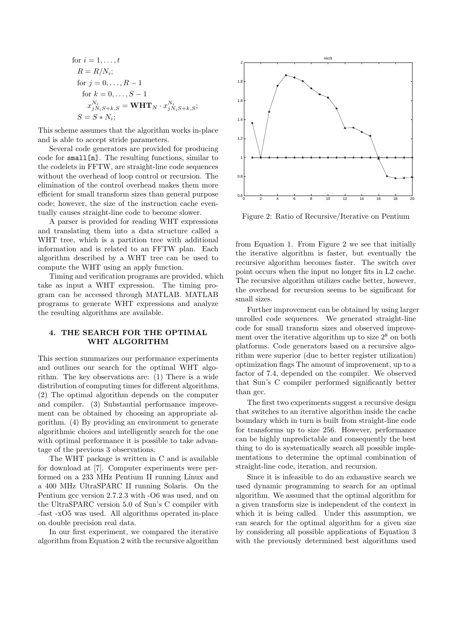for 
$$
i = 1, ..., t
$$
  
\n $R = R/N_i$ ;  
\nfor  $j = 0, ..., R - 1$   
\nfor  $k = 0, ..., S - 1$   
\n $x_{jN_iS+k,S}^{N_i} = \mathbf{WHT}_N \cdot x_{jN_iS+k,S}^{N_i}$ ;  
\n $S = S * N_i$ ;

This scheme assumes that the algorithm works in-place and is able to accept stride parameters.

Several code generators are provided for producing code for small[n]. The resulting functions, similar to the codelets in FFTW, are straight-line code sequences without the overhead of loop control or recursion. The elimination of the control overhead makes them more efficient for small transform sizes than general purpose code; however, the size of the instruction cache eventually causes straight-line code to become slower.

A parser is provided for reading WHT expressions and translating them into a data structure called a WHT tree, which is a partition tree with additional information and is related to an FFTW plan. Each algorithm described by a WHT tree can be used to compute the WHT using an apply function.

Timing and verification programs are provided, which take as input a WHT expression. The timing program can be accessed through MATLAB. MATLAB programs to generate WHT expressions and analyze the resulting algorithms are available.

## **4. THE SEARCH FOR THE OPTIMAL WHT ALGORITHM**

This section summarizes our performance experiments and outlines our search for the optimal WHT algorithm. The key observations are: (1) There is a wide distribution of computing times for different algorithms. (2) The optimal algorithm depends on the computer and compiler. (3) Substantial performance improvement can be obtained by choosing an appropriate algorithm. (4) By providing an environment to generate algorithmic choices and intelligently search for the one with optimal performance it is possible to take advantage of the previous 3 observations.

The WHT package is written in C and is available for download at [7]. Computer experiments were performed on a 233 MHz Pentium II running Linux and a 400 MHz UltraSPARC II running Solaris. On the Pentium gcc version 2.7.2.3 with -O6 was used, and on the UltraSPARC version 5.0 of Sun's C compiler with -fast -xO5 was used. All algorithms operated in-place on double precision real data.

In our first experiment, we compared the iterative algorithm from Equation 2 with the recursive algorithm



Figure 2: Ratio of Recursive/Iterative on Pentium

from Equation 1. From Figure 2 we see that initially the iterative algorithm is faster, but eventually the recursive algorithm becomes faster. The switch over point occurs when the input no longer fits in L2 cache. The recursive algorithm utilizes cache better, however, the overhead for recursion seems to be significant for small sizes.

Further improvement can be obtained by using larger unrolled code sequences. We generated straight-line code for small transform sizes and observed improvement over the iterative algorithm up to size  $2^8$  on both platforms. Code generators based on a recursive algorithm were superior (due to better register utilization) optimization flags The amount of improvement, up to a factor of 7.4, depended on the compiler. We observed that Sun's C compiler performed significantly better than gcc.

The first two experiments suggest a recursive design that switches to an iterative algorithm inside the cache boundary which in turn is built from straight-line code for transforms up to size 256. However, performance can be highly unpredictable and consequently the best thing to do is systematically search all possible implementations to determine the optimal combination of straight-line code, iteration, and recursion.

Since it is infeasible to do an exhaustive search we used dynamic programming to search for an optimal algorithm. We assumed that the optimal algorithm for a given transform size is independent of the context in which it is being called. Under this assumption, we can search for the optimal algorithm for a given size by considering all possible applications of Equation 3 with the previously determined best algorithms used